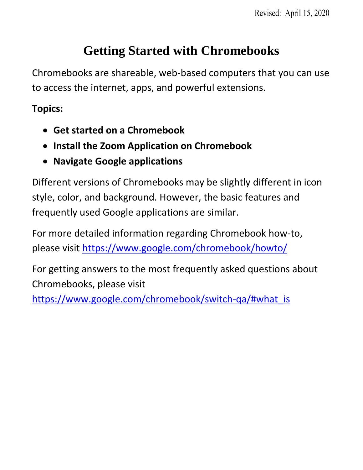# **Getting Started with Chromebooks**

Chromebooks are shareable, web-based computers that you can use to access the internet, apps, and powerful extensions.

# **Topics:**

- **Get started on a Chromebook**
- **Install the Zoom Application on Chromebook**
- **Navigate Google applications**

Different versions of Chromebooks may be slightly different in icon style, color, and background. However, the basic features and frequently used Google applications are similar.

For more detailed information regarding Chromebook how-to, please visit<https://www.google.com/chromebook/howto/>

For getting answers to the most frequently asked questions about Chromebooks, please visit

[https://www.google.com/chromebook/switch-qa/#what\\_is](https://www.google.com/chromebook/switch-qa/#what_is)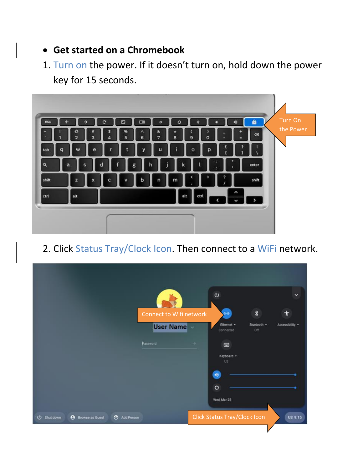- **Get started on a Chromebook**
- 1. Turn on the power. If it doesn't turn on, hold down the power key for 15 seconds.



2. Click Status Tray/Clock Icon. Then connect to a WiFi network.

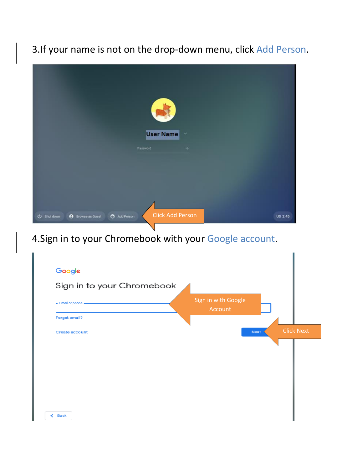3.If your name is not on the drop-down menu, click Add Person.



### 4.Sign in to your Chromebook with your Google account.

| Email or phone -      | Sign in to your Chromebook | Sign in with Google |      |                   |
|-----------------------|----------------------------|---------------------|------|-------------------|
| <b>Forgot email?</b>  |                            | Account             |      |                   |
| <b>Create account</b> |                            |                     | Next | <b>Click Next</b> |
|                       |                            |                     |      |                   |
|                       |                            |                     |      |                   |
|                       |                            |                     |      |                   |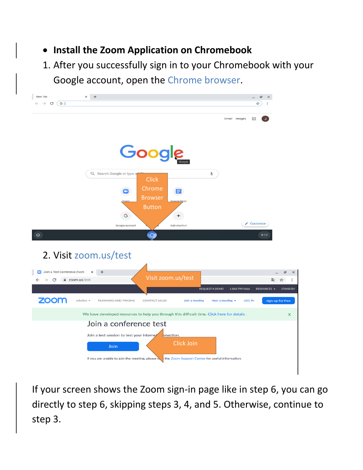- **Install the Zoom Application on Chromebook**
- 1. After you successfully sign in to your Chromebook with your Google account, open the Chrome browser.



If your screen shows the Zoom sign-in page like in step 6, you can go directly to step 6, skipping steps 3, 4, and 5. Otherwise, continue to step 3.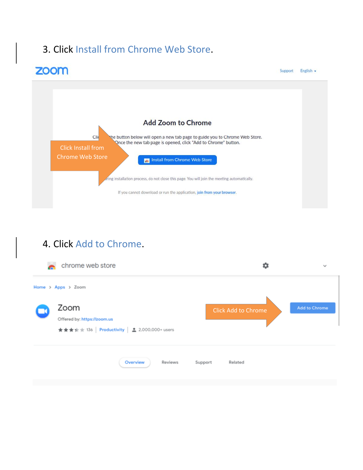## 3. Click Install from Chrome Web Store.



## 4. Click Add to Chrome.

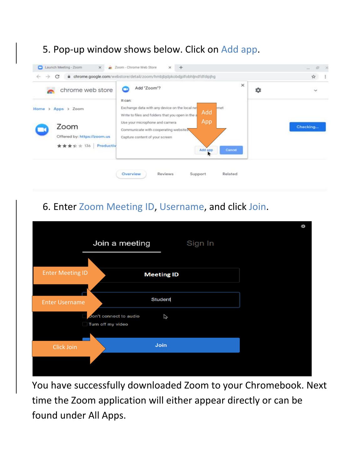## 5. Pop-up window shows below. Click on Add app.

| chrome web store<br>e               | $\times$<br>Add "Zoom"?<br>с                                                                                                | ກ | $\checkmark$ |
|-------------------------------------|-----------------------------------------------------------------------------------------------------------------------------|---|--------------|
| Home > Apps > Zoom                  | It can:<br>Exchange data with any device on the local ne<br>met<br>Add<br>Write to files and folders that you open in the a |   |              |
| Zoom<br>Offered by: https://zoom.us | App<br>Use your microphone and camera<br>Communicate with cooperating websites<br>Capture content of your screen            |   | Checking     |
| ★★★ ★ ★ 136 Productiv               | Cancel<br>Add app                                                                                                           |   |              |

#### 6. Enter Zoom Meeting ID, Username, and click Join.

| Join a meeting                              |                   | Sign In |  |
|---------------------------------------------|-------------------|---------|--|
|                                             |                   |         |  |
| <b>Enter Meeting ID</b>                     | <b>Meeting ID</b> |         |  |
|                                             |                   |         |  |
| <b>Enter Username</b>                       | Student           |         |  |
| Jon't connect to audio<br>Turn off my video | グ                 |         |  |
|                                             |                   |         |  |
| <b>Click Join</b>                           | Join              |         |  |
|                                             |                   |         |  |
|                                             |                   |         |  |

You have successfully downloaded Zoom to your Chromebook. Next time the Zoom application will either appear directly or can be found under All Apps.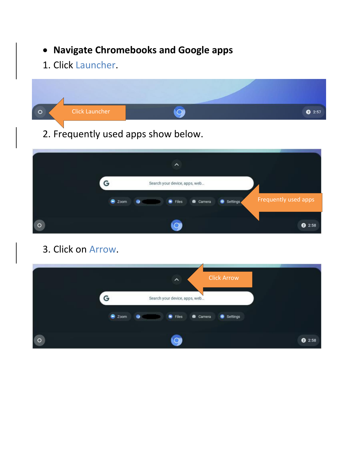- **Navigate Chromebooks and Google apps**
- 1. Click Launcher.



2. Frequently used apps show below.

|         |                                    | $\hat{\phantom{a}}$ |                                  |
|---------|------------------------------------|---------------------|----------------------------------|
|         | G<br>Search your device, apps, web |                     |                                  |
|         | 2com                               | Camera<br>Files     | Frequently used apps<br>Settings |
| $\circ$ |                                    |                     | 2:58                             |

3. Click on Arrow.

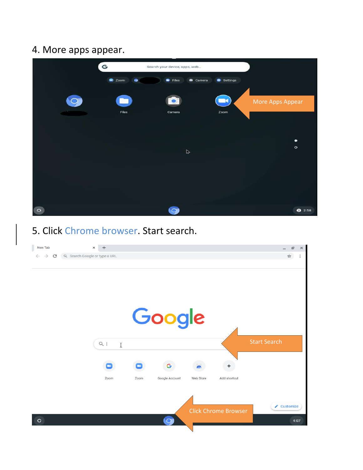#### 4. More apps appear.

|         | $\mathbf{G}$  | Search your device, apps, web |          |                  |
|---------|---------------|-------------------------------|----------|------------------|
|         | <b>C</b> zoom | Camera<br>Files               | Settings |                  |
|         |               |                               | ▔        | More Apps Appear |
|         | Files         | Camera                        | Zoom     |                  |
|         |               |                               |          |                  |
|         |               |                               |          |                  |
|         |               |                               |          | ٠                |
|         |               | $\mathbb{N}$                  |          | $\circ$          |
|         |               |                               |          |                  |
|         |               |                               |          |                  |
|         |               |                               |          |                  |
|         |               |                               |          |                  |
|         |               |                               |          |                  |
|         |               |                               |          |                  |
| $\circ$ |               | $\circ$                       |          | 2:58             |

## 5. Click Chrome browser. Start search.

| New Tab            | $+$<br>$\times$               |                        |                             |              | $\mathbb{E}$<br>$\times$ |
|--------------------|-------------------------------|------------------------|-----------------------------|--------------|--------------------------|
| C<br>$\rightarrow$ | Q Search Google or type a URL |                        |                             |              | Ξ<br>☆                   |
|                    |                               |                        |                             |              |                          |
|                    |                               |                        |                             |              |                          |
|                    |                               |                        |                             |              |                          |
|                    |                               |                        |                             |              |                          |
|                    |                               |                        |                             |              |                          |
|                    |                               | Google                 |                             |              |                          |
|                    |                               |                        |                             |              |                          |
|                    |                               |                        |                             |              |                          |
|                    | $Q_1$<br>$\mathbb I$          |                        |                             |              | <b>Start Search</b>      |
|                    |                               |                        |                             |              |                          |
|                    |                               |                        |                             |              |                          |
|                    |                               | G                      |                             |              |                          |
|                    | Zoom                          | Google Account<br>Zoom | Web Store                   | Add shortcut |                          |
|                    |                               |                        |                             |              |                          |
|                    |                               |                        |                             |              |                          |
|                    |                               |                        | <b>Click Chrome Browser</b> |              | $\angle$ Customize       |
| $\circ$            |                               | 0                      |                             |              | 4:07                     |
|                    |                               |                        |                             |              |                          |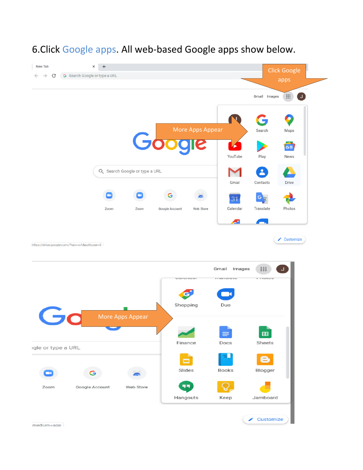

#### 6.Click Google apps. All web-based Google apps show below.